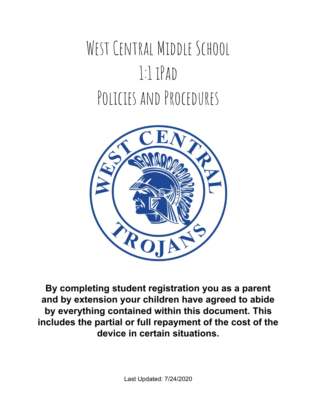# WEST CENTRAL MIDDLE SCHOOL 1:1 iPad POLICIES AND PROCEDURES



**By completing student registration you as a parent and by extension your children have agreed to abide by everything contained within this document. This includes the partial or full repayment of the cost of the device in certain situations.**

Last Updated: 7/24/2020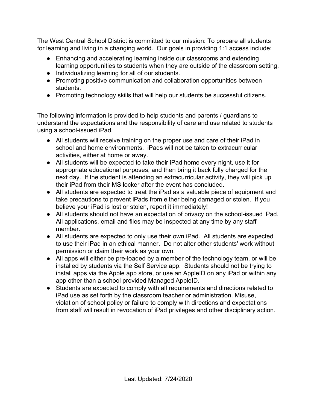The West Central School District is committed to our mission: To prepare all students for learning and living in a changing world. Our goals in providing 1:1 access include:

- Enhancing and accelerating learning inside our classrooms and extending learning opportunities to students when they are outside of the classroom setting.
- Individualizing learning for all of our students.
- Promoting positive communication and collaboration opportunities between students.
- Promoting technology skills that will help our students be successful citizens.

The following information is provided to help students and parents / guardians to understand the expectations and the responsibility of care and use related to students using a school-issued iPad.

- All students will receive training on the proper use and care of their iPad in school and home environments. iPads will not be taken to extracurricular activities, either at home or away.
- All students will be expected to take their iPad home every night, use it for appropriate educational purposes, and then bring it back fully charged for the next day. If the student is attending an extracurricular activity, they will pick up their iPad from their MS locker after the event has concluded.
- All students are expected to treat the iPad as a valuable piece of equipment and take precautions to prevent iPads from either being damaged or stolen. If you believe your iPad is lost or stolen, report it immediately!
- All students should not have an expectation of privacy on the school-issued iPad. All applications, email and files may be inspected at any time by any staff member.
- All students are expected to only use their own iPad. All students are expected to use their iPad in an ethical manner. Do not alter other students' work without permission or claim their work as your own.
- All apps will either be pre-loaded by a member of the technology team, or will be installed by students via the Self Service app. Students should not be trying to install apps via the Apple app store, or use an AppleID on any iPad or within any app other than a school provided Managed AppleID.
- Students are expected to comply with all requirements and directions related to iPad use as set forth by the classroom teacher or administration. Misuse, violation of school policy or failure to comply with directions and expectations from staff will result in revocation of iPad privileges and other disciplinary action.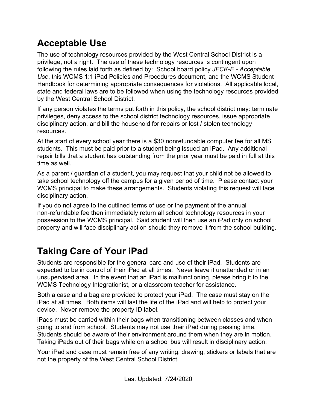## **Acceptable Use**

The use of technology resources provided by the West Central School District is a privilege, not a right. The use of these technology resources is contingent upon following the rules laid forth as defined by: School board policy *JFCK-E - Acceptable Use*, this WCMS 1:1 iPad Policies and Procedures document, and the WCMS Student Handbook for determining appropriate consequences for violations. All applicable local, state and federal laws are to be followed when using the technology resources provided by the West Central School District.

If any person violates the terms put forth in this policy, the school district may: terminate privileges, deny access to the school district technology resources, issue appropriate disciplinary action, and bill the household for repairs or lost / stolen technology resources.

At the start of every school year there is a \$30 nonrefundable computer fee for all MS students. This must be paid prior to a student being issued an iPad. Any additional repair bills that a student has outstanding from the prior year must be paid in full at this time as well.

As a parent / guardian of a student, you may request that your child not be allowed to take school technology off the campus for a given period of time. Please contact your WCMS principal to make these arrangements. Students violating this request will face disciplinary action.

If you do not agree to the outlined terms of use or the payment of the annual non-refundable fee then immediately return all school technology resources in your possession to the WCMS principal. Said student will then use an iPad only on school property and will face disciplinary action should they remove it from the school building.

## **Taking Care of Your iPad**

Students are responsible for the general care and use of their iPad. Students are expected to be in control of their iPad at all times. Never leave it unattended or in an unsupervised area. In the event that an iPad is malfunctioning, please bring it to the WCMS Technology Integrationist, or a classroom teacher for assistance.

Both a case and a bag are provided to protect your iPad. The case must stay on the iPad at all times. Both items will last the life of the iPad and will help to protect your device. Never remove the property ID label.

iPads must be carried within their bags when transitioning between classes and when going to and from school. Students may not use their iPad during passing time. Students should be aware of their environment around them when they are in motion. Taking iPads out of their bags while on a school bus will result in disciplinary action.

Your iPad and case must remain free of any writing, drawing, stickers or labels that are not the property of the West Central School District.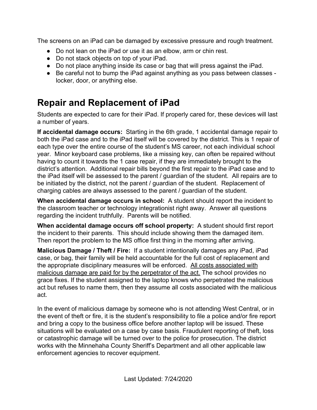The screens on an iPad can be damaged by excessive pressure and rough treatment.

- Do not lean on the iPad or use it as an elbow, arm or chin rest.
- Do not stack objects on top of your iPad.
- Do not place anything inside its case or bag that will press against the iPad.
- Be careful not to bump the iPad against anything as you pass between classes locker, door, or anything else.

# **Repair and Replacement of iPad**

Students are expected to care for their iPad. If properly cared for, these devices will last a number of years.

**If accidental damage occurs:** Starting in the 6th grade, 1 accidental damage repair to both the iPad case and to the iPad itself will be covered by the district. This is 1 repair of each type over the entire course of the student's MS career, not each individual school year. Minor keyboard case problems, like a missing key, can often be repaired without having to count it towards the 1 case repair, if they are immediately brought to the district's attention. Additional repair bills beyond the first repair to the iPad case and to the iPad itself will be assessed to the parent / guardian of the student. All repairs are to be initiated by the district, not the parent / guardian of the student. Replacement of charging cables are always assessed to the parent / guardian of the student.

**When accidental damage occurs in school:** A student should report the incident to the classroom teacher or technology integrationist right away. Answer all questions regarding the incident truthfully. Parents will be notified.

**When accidental damage occurs off school property:** A student should first report the incident to their parents. This should include showing them the damaged item. Then report the problem to the MS office first thing in the morning after arriving.

**Malicious Damage / Theft / Fire:** If a student intentionally damages any iPad, iPad case, or bag, their family will be held accountable for the full cost of replacement and the appropriate disciplinary measures will be enforced. All costs associated with malicious damage are paid for by the perpetrator of the act. The school provides no grace fixes. If the student assigned to the laptop knows who perpetrated the malicious act but refuses to name them, then they assume all costs associated with the malicious act.

In the event of malicious damage by someone who is not attending West Central, or in the event of theft or fire, it is the student's responsibility to file a police and/or fire report and bring a copy to the business office before another laptop will be issued. These situations will be evaluated on a case by case basis. Fraudulent reporting of theft, loss or catastrophic damage will be turned over to the police for prosecution. The district works with the Minnehaha County Sheriff's Department and all other applicable law enforcement agencies to recover equipment.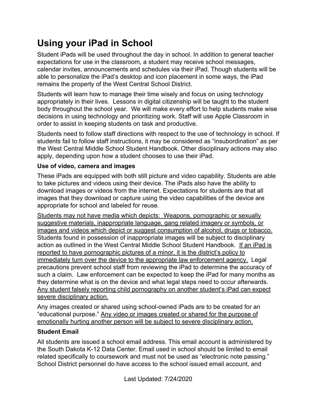# **Using your iPad in School**

Student iPads will be used throughout the day in school. In addition to general teacher expectations for use in the classroom, a student may receive school messages, calendar invites, announcements and schedules via their iPad. Though students will be able to personalize the iPad's desktop and icon placement in some ways, the iPad remains the property of the West Central School District.

Students will learn how to manage their time wisely and focus on using technology appropriately in their lives. Lessons in digital citizenship will be taught to the student body throughout the school year. We will make every effort to help students make wise decisions in using technology and prioritizing work. Staff will use Apple Classroom in order to assist in keeping students on task and productive.

Students need to follow staff directions with respect to the use of technology in school. If students fail to follow staff instructions, it may be considered as "insubordination" as per the West Central Middle School Student Handbook. Other disciplinary actions may also apply, depending upon how a student chooses to use their iPad.

#### **Use of video, camera and images**

These iPads are equipped with both still picture and video capability. Students are able to take pictures and videos using their device. The iPads also have the ability to download images or videos from the internet. Expectations for students are that all images that they download or capture using the video capabilities of the device are appropriate for school and labeled for reuse.

Students may not have media which depicts: Weapons, pornographic or sexually suggestive materials, inappropriate language, gang related imagery or symbols, or images and videos which depict or suggest consumption of alcohol, drugs or tobacco. Students found in possession of inappropriate images will be subject to disciplinary action as outlined in the West Central Middle School Student Handbook. If an iPad is reported to have pornographic pictures of a minor, it is the district's policy to immediately turn over the device to the appropriate law enforcement agency. Legal precautions prevent school staff from reviewing the iPad to determine the accuracy of such a claim. Law enforcement can be expected to keep the iPad for many months as they determine what is on the device and what legal steps need to occur afterwards. Any student falsely reporting child pornography on another student's iPad can expect severe disciplinary action.

Any images created or shared using school-owned iPads are to be created for an "educational purpose." Any video or images created or shared for the purpose of emotionally hurting another person will be subject to severe disciplinary action.

#### **Student Email**

All students are issued a school email address. This email account is administered by the South Dakota K-12 Data Center. Email used in school should be limited to email related specifically to coursework and must not be used as "electronic note passing." School District personnel do have access to the school issued email account, and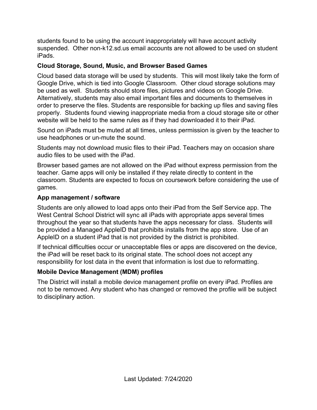students found to be using the account inappropriately will have account activity suspended. Other non-k12.sd.us email accounts are not allowed to be used on student iPads.

#### **Cloud Storage, Sound, Music, and Browser Based Games**

Cloud based data storage will be used by students. This will most likely take the form of Google Drive, which is tied into Google Classroom. Other cloud storage solutions may be used as well. Students should store files, pictures and videos on Google Drive. Alternatively, students may also email important files and documents to themselves in order to preserve the files. Students are responsible for backing up files and saving files properly. Students found viewing inappropriate media from a cloud storage site or other website will be held to the same rules as if they had downloaded it to their iPad.

Sound on iPads must be muted at all times, unless permission is given by the teacher to use headphones or un-mute the sound.

Students may not download music files to their iPad. Teachers may on occasion share audio files to be used with the iPad.

Browser based games are not allowed on the iPad without express permission from the teacher. Game apps will only be installed if they relate directly to content in the classroom. Students are expected to focus on coursework before considering the use of games.

#### **App management / software**

Students are only allowed to load apps onto their iPad from the Self Service app. The West Central School District will sync all iPads with appropriate apps several times throughout the year so that students have the apps necessary for class. Students will be provided a Managed AppleID that prohibits installs from the app store. Use of an AppleID on a student iPad that is not provided by the district is prohibited.

If technical difficulties occur or unacceptable files or apps are discovered on the device, the iPad will be reset back to its original state. The school does not accept any responsibility for lost data in the event that information is lost due to reformatting.

#### **Mobile Device Management (MDM) profiles**

The District will install a mobile device management profile on every iPad. Profiles are not to be removed. Any student who has changed or removed the profile will be subject to disciplinary action.